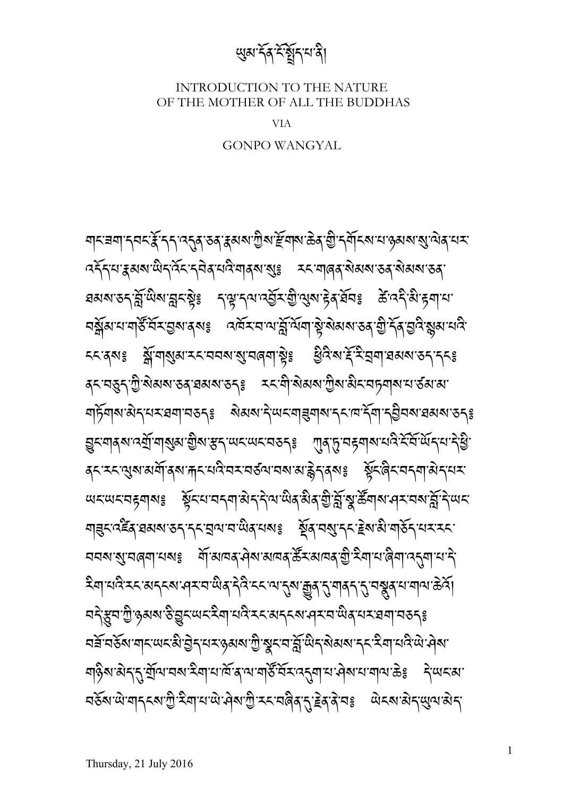ঘানন্ননা ন্নন্হেঁ ন্নে ব্ৰেৰ্ষ্কৰ হ্ৰমৰ শ্ৰীৰ দ্বিদ্যাত্তৰ অভিযোগীত কৰিব নাম *ব*ইন্ম'ধ্ৰুমৰাজ্যনৰ্বিহ'ন্নৰ মৰি'মাৰ্ৰ 'ৰ্ছ' ব্যমাৰৰ ৰাজ্যস্তৰ জিমৰা'তৰ ঘঝমাতনাৰ্স্লীজাৰ্মনষ্টঃ নম্মানমান্ত্ৰীস্থীত্মমাট্ট ব্যৱহাৰ ক্লীবনীজ্ঞানা <u>বর্ষ</u>ুখনা বার্ষ্ট বিমন্তব্যৰ প্রায় বর্ষ বার্ষ বিশ্ববিদ্যালয় বিশ্ববিদ্ববিদ্ববিদ্ববিদ্যালয় ངང་ནས༔ ས་གསམ་རང་བབས་ས་བཞག་ས༔ ཕའ་ས་ར་ར་བག་ཐམས་ཅད་དང༔ *ଵ*়নস্তুনৃশ্যুর্ক্ষমস্তব্রস্নমস্তন্<sub>ই</sub> হনক্ষ্মিক্ষমশ্যুষ্মক্ষমস্যার ক্ষম করা ঘাৰ্ট্মৰ্ম'ষ্টম্'মহাৰম্'মহূৰ্ছ ষ্টমৰ্ম'ন্দ্ৰ'মাহমৰ্মান্ত্ৰীৰ্ম'ৰ্মৰ্মান্ত বিৰুদ্ধে <u>হ</u>ুমন্স্কান্ম্ৰ্যান্ম্ৰ্য়ম'গ্ৰীৰাস্ত্ৰ 'ধ্যম'ঞ্চম্বৰ বিষ্ণু' শ্ৰম্ভি মুক্তি মুক্তি মুক্তি মুক্তি মুক্তি মুক্ত<br>ভাৰতি द्रू<ॱ২< শুৰ মৰ্মী বৰ দাৰ শেষ মেহন মৰ্মী অসমৰ উদ্ভৱি । ইন্দ্ৰী বিধান সমূহ ম <u> অহত্মহত্মহত্মৰ ষ্ট্ৰহিমত্মহত্মৰিতি স্থিতি স্থিতি বি</u> ঘাপ্ৰনৰ্ত্ত্বৰ প্ৰমৰ্থ হোৱা মুখবাৰ পুৰি প্ৰতি নিৰ্বাচনী সমূহ বিদ্যালয় কৰিব কা ঘঘষাৰ্যাঘৰ্ণাঘষঃ শিষ্যান্তৰ পৰা অনিষ্ঠি ইম্মান্ত বিশ্বান্ত বিশ্বান্ত বিশ্বা ইন্মাঘন্নী হয়ে মন্ত্ৰী বিদ্যালয়ৰ বিদ্যালয়ৰ বিদ্যালয়ৰ বিদ্যালয়ৰ বিদ্যালয়ৰ বিদ্যালয়ৰ বিদ্যালয়ৰ বিদ্যালয ঘই্স্কুন'শ্ৰী'ঙ্গৰ্মৰ'উত্তুহ'অহ'মী'ঘেন্ট'মহ'ৰাব্হৰ'অৰ্'মহ'ৰৰা'বৰ্ত্তৰ ঃ ঘর্ষ ঘর্ষ মানু আরু উদ্রাজ্য জীয়ে বিদ্যালয় বিদ্যালয় বিদ্যালয় বিদ্যালয় বিদ্যালয় বিদ্যালয় বিদ্যালয় বিদ্যা <u>বা</u>ৡ৾য়<sup>৻</sup>য়৾ৼ৻৴য়ৣ৾ড়৻৸৸ৼৼৢৼৢৢৢৢৢ৸৸৻৸৸ৼ৸ৼ৸ৼ৸ৼ৸ৼ৸ৼ৸ৼ৸ৼ৸ৼ৻৸৻ <u> ব</u>র্ডঝ'থা'বাব্ৎম'শ্রী'ইবা'থ'থা'ঐৰা'শ্রী'হব'বৰ্ষ্*ই*'ব্রি'বেঃ ঐব্যাঞ্চার্থ্য'ঝিব্'

GONPO WANGYAL

VIA

INTRODUCTION TO THE NATURE OF THE MOTHER OF ALL THE BUDDHAS

ཡམ་དན་ང་སད་པ་ན།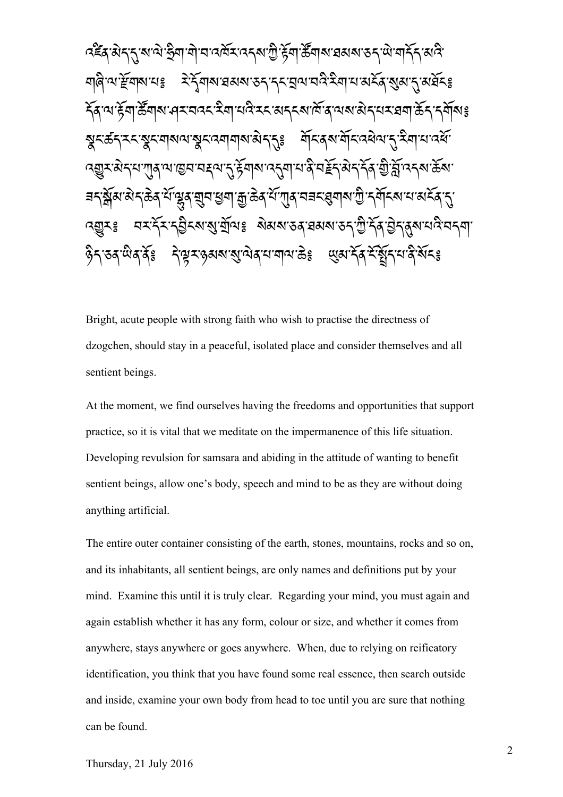འཛན་མད་ད་ས་ལ་ཧག་ག་བ་འཁར་འདས་ཀ་རག་ཚགས་ཐམས་ཅད་ཡ་གདད་མའ་ ঘাৰ্ল অ'ৰ্দ্ৰবাৰ মাধৱী সংবিধাৰে সম্পৰ্ক কৰি বিধাৰণ কৰি বিধাৰণ প্ৰতিষ্ঠা รัส เขารัตาธิ์ตุ พาศุราตารามิตามติ ราช ราช เส้า สาของ สิราช สาของ ร <u>য়ৢ</u>८ৼঢ়ৼৼৼয়ৼয়৶ড়ড়ৼড়য়য়য়৶ড়ৼঀৼৼৼড়ড়ড়ড়ড়ৼড়ড়ৼড়ড়৸ৼ৻ড়৸ড়৸ ব্রন্তুমন্ত্রন্মশা্ন্তনমেহ্নমান্ট্রন্সমান্ত্র্যামান্ত্রিস্ট্রন্সমান্ত্র্যাম্ভ্রমা <u> ब</u>दञ्जेंब सेदछि में सूत्र सूत्र सूत्र सुत्र के दर्भग्गुब नबर सूत्र से पुरस्कार से सुत्र से सुत्र से सुत्र से ব্রন্থ ব্যার্হ্ম বর্ষ্মার্মুর্ত্মি ষ্যার্থ বর্ষ্ম বর্ষ্ম বর্ষ্ম বর্ষ্ম বর্ষ্ম বর্ষ ཉད་ཅན་ཡན་ན༔ ད་ལར་ཉམས་ས་ལན་པ་གལ་ཆ༔ ཡམ་དན་ང་སད་པ་ན་སང༔

Bright, acute people with strong faith who wish to practise the directness of dzogchen, should stay in a peaceful, isolated place and consider themselves and all sentient beings.

At the moment, we find ourselves having the freedoms and opportunities that support practice, so it is vital that we meditate on the impermanence of this life situation. Developing revulsion for samsara and abiding in the attitude of wanting to benefit sentient beings, allow one's body, speech and mind to be as they are without doing anything artificial.

The entire outer container consisting of the earth, stones, mountains, rocks and so on, and its inhabitants, all sentient beings, are only names and definitions put by your mind. Examine this until it is truly clear. Regarding your mind, you must again and again establish whether it has any form, colour or size, and whether it comes from anywhere, stays anywhere or goes anywhere. When, due to relying on reificatory identification, you think that you have found some real essence, then search outside and inside, examine your own body from head to toe until you are sure that nothing can be found.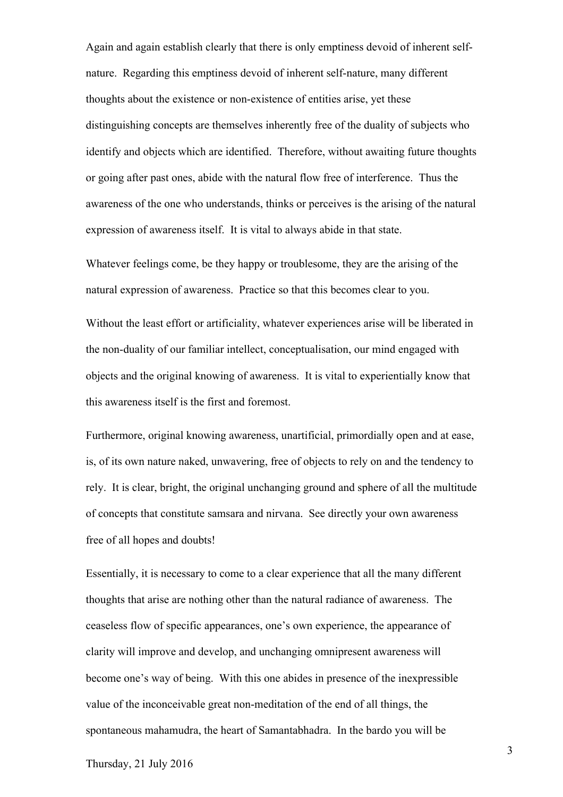Again and again establish clearly that there is only emptiness devoid of inherent selfnature. Regarding this emptiness devoid of inherent self-nature, many different thoughts about the existence or non-existence of entities arise, yet these distinguishing concepts are themselves inherently free of the duality of subjects who identify and objects which are identified. Therefore, without awaiting future thoughts or going after past ones, abide with the natural flow free of interference. Thus the awareness of the one who understands, thinks or perceives is the arising of the natural expression of awareness itself. It is vital to always abide in that state.

Whatever feelings come, be they happy or troublesome, they are the arising of the natural expression of awareness. Practice so that this becomes clear to you.

Without the least effort or artificiality, whatever experiences arise will be liberated in the non-duality of our familiar intellect, conceptualisation, our mind engaged with objects and the original knowing of awareness. It is vital to experientially know that this awareness itself is the first and foremost.

Furthermore, original knowing awareness, unartificial, primordially open and at ease, is, of its own nature naked, unwavering, free of objects to rely on and the tendency to rely. It is clear, bright, the original unchanging ground and sphere of all the multitude of concepts that constitute samsara and nirvana. See directly your own awareness free of all hopes and doubts!

Essentially, it is necessary to come to a clear experience that all the many different thoughts that arise are nothing other than the natural radiance of awareness. The ceaseless flow of specific appearances, one's own experience, the appearance of clarity will improve and develop, and unchanging omnipresent awareness will become one's way of being. With this one abides in presence of the inexpressible value of the inconceivable great non-meditation of the end of all things, the spontaneous mahamudra, the heart of Samantabhadra. In the bardo you will be

3